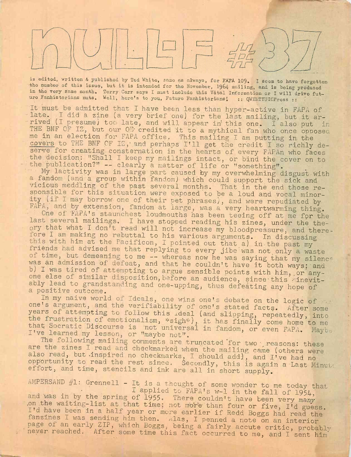is edited, writton & published by Ted White, same as always, for FAPA 109. I seem to have forgotten the numbor of this issue, but it is intended for the November, 1964 mailing, and is being produced in the very Same month. Torry Carr says I must include this Vital Information or I will drivo future Fanhistorians nuts. Woll, here's to you, Future Fanhistorians! :: QWERTYUIOPress ::

It must be admitted that I have been less than hyper-active in FAPA of late. I did a zine (a very brief one) for the last mailing, but it arrived (I presume) too late, and will appear in this one. I also put in THE BNF OF IZ, but our OE credited it to a mythical fan who once opposed me in an election for FAPA office. This mailing I am putting in the covers to THE BNF OF  $IZ$ , and perhaps I'll get the credit I so richly deserve for creating consternation in the hearts of every FAPAn who faces the decision: "Shall I keep my mailings intact, or bind the cover on to<br>- the publication?" -- clearly a matter of life or "something".<br>My lastivity was in large part of life or "something". the publication?" -- clearly a matter of life or "something".<br>My lactivity was in large part caused by my overwhelming disgust with

a fandom (and a group within fandom) which could support the sick and vicious meddling of the past several months. That in the end those responsible for this situation were exposed to be a loud and vocal minor ity (if I may borrow one of their pet phrases), and were repudiated by FAPA, and by extension, fandom at large, was a very heartwarming thing.

One of FaPA'<sup>s</sup> staunchest loudmouths has been teeing off at me for the last several mailings. I have stopped reading his zines, under the theory that what <sup>I</sup> don't read will not increase my bloodpressure, and therefore I am making no rebuttal to his various arguments. In discussing this with him at the Pacificon, I pointed out that a) in the past my friends had advised me that replying to every jibe was not only a waste of time, but demeaning to me -- whereas now he was saying that my silence was an admission of defeat, and that he couldn't have it both ways: and b) I was tired of attempting to argue sensible points with him, or anyone else of similar disposition, before an audience, since this inevitably lead to grandstanding and one-upping, thus defeating any hope of a positive outcome.

In my naive world of Ideals, one wins one's debate on the logic of  $\cdots$ one'<sup>s</sup> argument, and the verifiability of one'<sup>s</sup> stated facts. After some years of attempting to follow this ideal (and slipping, repeatedly, into the frustration of emotionalism, \*sigh\*), it has finally come home to me that Socratic Discourse is not universal in fandom, or even FAPA. Mort I've learned my lesson, or "maybe not". I've learned my lesson, or "maybe not". The following mailing comments are truncated for two preasons: these

are the zines I read and checkmarked when the mailing came (others were also read, but inspired no checkmarks, I should add), and I've had no opportunity to read the rest since. Secondly, this is again a Last Minut. effort, and time, stencils and ink are all in short supply.

AMPERSAND  $#1$ : Grennell - It is a thought of some wonder to me today that I applied to FAPA's w-1 in the fall of 1954, and was in by the spring of 1955. There couldn't have been very many .on the waiting-list at that time; not more than four or five, I'd guess. I'd have been in a half year or more earlier if Redd Boggs had read the fanzines I was sending him then. Alas, I penned a note on an interior page of an early ZIP, which Boggs, being a fairly accute critic, probably never reached. After some time this fact occurred to me, and I sent him